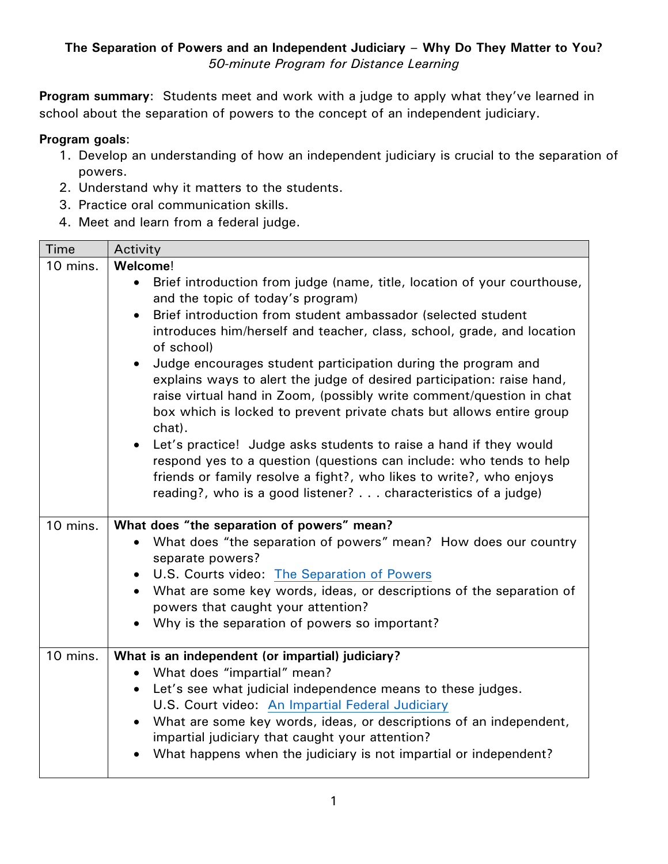**Program summary:** Students meet and work with a judge to apply what they've learned in school about the separation of powers to the concept of an independent judiciary.

## **Program goals**:

- 1. Develop an understanding of how an independent judiciary is crucial to the separation of powers.
- 2. Understand why it matters to the students.
- 3. Practice oral communication skills.
- 4. Meet and learn from a federal judge.

| <b>Time</b> | Activity                                                                                                                                                                                                                                                                                                                                                                                                                                                                                                                                                                                                                                                                                                                                                                                                                                                                                                |
|-------------|---------------------------------------------------------------------------------------------------------------------------------------------------------------------------------------------------------------------------------------------------------------------------------------------------------------------------------------------------------------------------------------------------------------------------------------------------------------------------------------------------------------------------------------------------------------------------------------------------------------------------------------------------------------------------------------------------------------------------------------------------------------------------------------------------------------------------------------------------------------------------------------------------------|
| 10 mins.    | Welcome!                                                                                                                                                                                                                                                                                                                                                                                                                                                                                                                                                                                                                                                                                                                                                                                                                                                                                                |
|             | Brief introduction from judge (name, title, location of your courthouse,<br>$\bullet$<br>and the topic of today's program)<br>Brief introduction from student ambassador (selected student<br>$\bullet$<br>introduces him/herself and teacher, class, school, grade, and location<br>of school)<br>Judge encourages student participation during the program and<br>$\bullet$<br>explains ways to alert the judge of desired participation: raise hand,<br>raise virtual hand in Zoom, (possibly write comment/question in chat<br>box which is locked to prevent private chats but allows entire group<br>chat).<br>• Let's practice! Judge asks students to raise a hand if they would<br>respond yes to a question (questions can include: who tends to help<br>friends or family resolve a fight?, who likes to write?, who enjoys<br>reading?, who is a good listener? characteristics of a judge) |
| 10 mins.    | What does "the separation of powers" mean?<br>What does "the separation of powers" mean? How does our country<br>separate powers?<br>U.S. Courts video: The Separation of Powers<br>$\bullet$<br>What are some key words, ideas, or descriptions of the separation of<br>$\bullet$<br>powers that caught your attention?<br>Why is the separation of powers so important?                                                                                                                                                                                                                                                                                                                                                                                                                                                                                                                               |
| 10 mins.    | What is an independent (or impartial) judiciary?<br>What does "impartial" mean?<br>$\bullet$<br>Let's see what judicial independence means to these judges.<br>$\bullet$<br>U.S. Court video: An Impartial Federal Judiciary<br>What are some key words, ideas, or descriptions of an independent,<br>$\bullet$<br>impartial judiciary that caught your attention?<br>What happens when the judiciary is not impartial or independent?                                                                                                                                                                                                                                                                                                                                                                                                                                                                  |